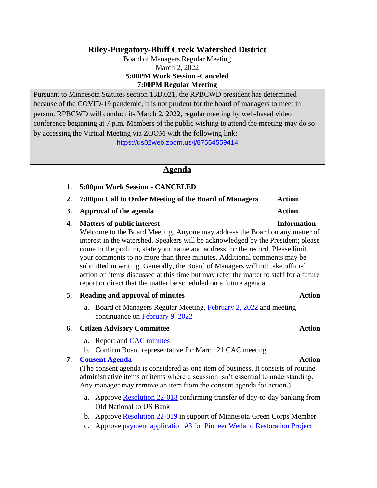# **Riley-Purgatory-Bluff Creek Watershed District**

Board of Managers Regular Meeting March 2, 2022 **5:00PM Work Session -Canceled 7:00PM Regular Meeting**

Pursuant to Minnesota Statutes section 13D.021, the RPBCWD president has determined because of the COVID-19 pandemic, it is not prudent for the board of managers to meet in person. RPBCWD will conduct its March 2, 2022, regular meeting by web-based video conference beginning at 7 p.m. Members of the public wishing to attend the meeting may do so by accessing the Virtual Meeting via ZOOM with the following link:

<https://us02web.zoom.us/j/87554559414>

## **Agenda**

- **1. 5:00pm Work Session - CANCELED**
- **2. 7:00pm Call to Order Meeting of the Board of Managers Action**
- **3. Approval of the agenda Action**

### **4. Matters of public interest Information**

Welcome to the Board Meeting. Anyone may address the Board on any matter of interest in the watershed. Speakers will be acknowledged by the President; please come to the podium, state your name and address for the record. Please limit your comments to no more than three minutes. Additional comments may be submitted in writing. Generally, the Board of Managers will not take official action on items discussed at this time but may refer the matter to staff for a future report or direct that the matter be scheduled on a future agenda.

### **5. Reading and approval of minutes Action**

a. Board of Managers Regular Meeting, [February](https://rpbcwd.org/download_file/2317/0) 2, 2022 and meeting continuance on [February 9, 2022](https://rpbcwd.org/download_file/2316/0)

### **6. Citizen Advisory Committee Action**

- a. Report and CAC [minutes](https://rpbcwd.org/download_file/2318/0)
- b. Confirm Board representative for March 21 CAC meeting

### **7. [Consent](https://rpbcwd.org/download_file/2346/0) Agenda Action**

(The consent agenda is considered as one item of business. It consists of routine administrative items or items where discussion isn't essential to understanding. Any manager may remove an item from the consent agenda for action.)

- a. Approve **[Resolution 22-018](https://rpbcwd.org/download_file/2319/0)** confirming transfer of day-to-day banking from Old National to US Bank
- b. Approve [Resolution](https://rpbcwd.org/download_file/2320/0) 22-019 in support of Minnesota Green Corps Member
- c. Approve payment application #3 for Pioneer Wetland [Restoration](https://rpbcwd.org/download_file/2321/0) Project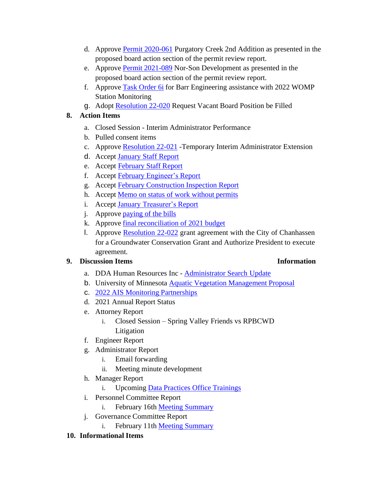- d. Approve [Permit 2020-061](https://rpbcwd.org/download_file/2322/0) Purgatory Creek 2nd Addition as presented in the proposed board action section of the permit review report.
- e. Approve Permit [2021-089](https://rpbcwd.org/download_file/2323/0) Nor-Son Development as presented in the proposed board action section of the permit review report.
- f. Approve Task [Order](https://rpbcwd.org/download_file/2324/0) 6i for Barr Engineering assistance with 2022 WOMP Station Monitoring
- g. Adopt [Resolution](https://rpbcwd.org/download_file/2325/0) 22-020 Request Vacant Board Position be Filled

# **8. Action Items**

- a. Closed Session Interim Administrator Performance
- b. Pulled consent items
- c. Approve [Resolution](https://rpbcwd.org/download_file/2326/0) 22-021 Temporary Interim Administrator Extension
- d. Accept [January](https://rpbcwd.org/download_file/2327/0) Staff Report
- e. Accept [February](https://rpbcwd.org/download_file/2328/0) Staff Report
- f. Accept February [Engineer's](https://rpbcwd.org/download_file/2329/0) Report
- g. Accept February [Construction](https://rpbcwd.org/download_file/2330/0) Inspection Report
- h. Accept Memo on status of work [without](https://rpbcwd.org/download_file/2331/0) permits
- i. Accept January [Treasurer's](https://rpbcwd.org/download_file/2332/0) Report
- j. Approve [paying](https://rpbcwd.org/download_file/2345/0) of the bills
- k. Approve final [reconciliation](https://rpbcwd.org/download_file/2343/0) of 2021 budget
- l. Approve [Resolution 22-022](https://rpbcwd.org/download_file/2342/0) grant agreement with the City of Chanhassen for a Groundwater Conservation Grant and Authorize President to execute agreement.

# **9. Discussion Items Information**

- a. DDA Human Resources Inc **[Administrator](https://rpbcwd.org/download_file/2335/0) Search Update**
- b. University of Minnesota Aquatic Vegetation [Management](https://rpbcwd.org/download_file/2341/0) Proposal
- c. 2022 AIS Monitoring [Partnerships](https://rpbcwd.org/download_file/2337/0)
- d. 2021 Annual Report Status
- e. Attorney Report
	- i. Closed Session Spring Valley Friends vs RPBCWD Litigation
- f. Engineer Report
- g. Administrator Report
	- i. Email forwarding
	- ii. Meeting minute development
- h. Manager Report
	- i. Upcoming Data Practices Office [Trainings](https://rpbcwd.org/download_file/2336/0)
- i. Personnel Committee Report
	- i. February 16th Meeting [Summary](https://rpbcwd.org/download_file/2338/0)
- j. Governance Committee Report
	- i. February 11th Meeting [Summary](https://rpbcwd.org/download_file/2339/0)
- **10. Informational Items**